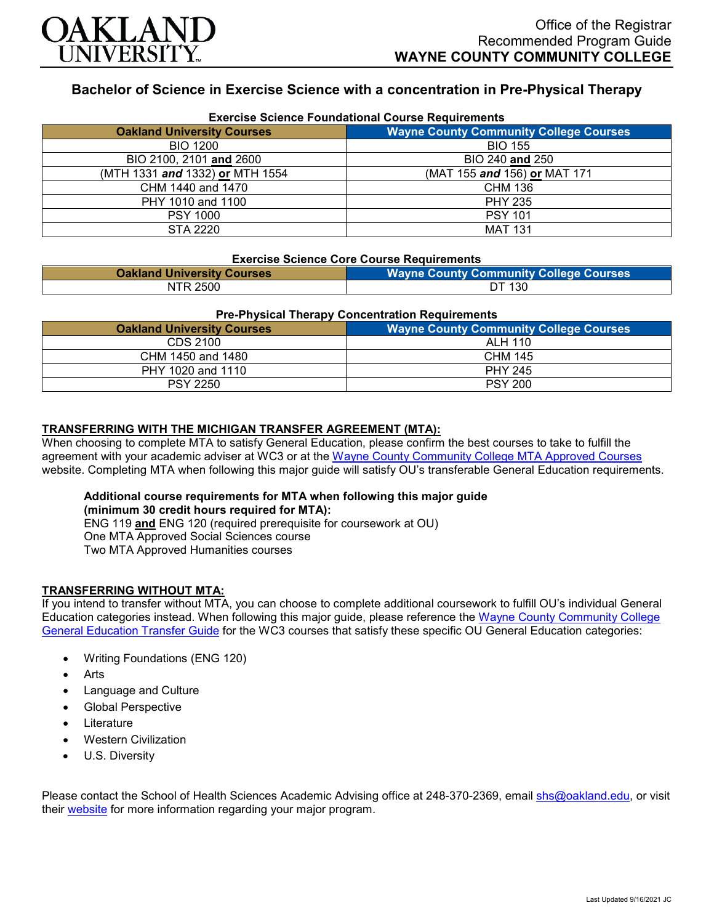

# **Bachelor of Science in Exercise Science with a concentration in Pre-Physical Therapy**

| <b>Exercise Science Foundational Course Requirements</b> |                                               |  |
|----------------------------------------------------------|-----------------------------------------------|--|
| <b>Oakland University Courses</b>                        | <b>Wayne County Community College Courses</b> |  |
| <b>BIO 1200</b>                                          | <b>BIO 155</b>                                |  |
| BIO 2100, 2101 and 2600                                  | BIO 240 and 250                               |  |
| (MTH 1331 and 1332) or MTH 1554                          | (MAT 155 and 156) or MAT 171                  |  |
| CHM 1440 and 1470                                        | CHM 136                                       |  |
| PHY 1010 and 1100                                        | <b>PHY 235</b>                                |  |
| <b>PSY 1000</b>                                          | <b>PSY 101</b>                                |  |
| STA 2220                                                 | <b>MAT 131</b>                                |  |

#### **Exercise Science Core Course Requirements**

| <b>Oakland University Courses</b> | <b>Wayne County Community College Courses</b> |
|-----------------------------------|-----------------------------------------------|
| NTR 2500                          | DT 130                                        |

#### **Pre-Physical Therapy Concentration Requirements**

| <b>Oakland University Courses</b> | <b>Wayne County Community College Courses</b> |
|-----------------------------------|-----------------------------------------------|
| CDS 2100                          | ALH 110                                       |
| CHM 1450 and 1480                 | <b>CHM 145</b>                                |
| PHY 1020 and 1110                 | <b>PHY 245</b>                                |
| <b>PSY 2250</b>                   | <b>PSY 200</b>                                |

## **TRANSFERRING WITH THE MICHIGAN TRANSFER AGREEMENT (MTA):**

When choosing to complete MTA to satisfy General Education, please confirm the best courses to take to fulfill the agreement with your academic adviser at WC3 or at the [Wayne County Community College MTA Approved Courses](http://www.wcccd.edu/students/pp_transfer_agreement.html) website. Completing MTA when following this major guide will satisfy OU's transferable General Education requirements.

#### **Additional course requirements for MTA when following this major guide (minimum 30 credit hours required for MTA):**

ENG 119 **and** ENG 120 (required prerequisite for coursework at OU) One MTA Approved Social Sciences course Two MTA Approved Humanities courses

## **TRANSFERRING WITHOUT MTA:**

If you intend to transfer without MTA, you can choose to complete additional coursework to fulfill OU's individual General Education categories instead. When following this major guide, please reference the [Wayne County Community College](https://www.oakland.edu/Assets/Oakland/program-guides/wayne-county-community-college/university-general-education-requirements/Wayne%20Gen%20Ed.pdf)  [General Education Transfer Guide](https://www.oakland.edu/Assets/Oakland/program-guides/wayne-county-community-college/university-general-education-requirements/Wayne%20Gen%20Ed.pdf) for the WC3 courses that satisfy these specific OU General Education categories:

- Writing Foundations (ENG 120)
- **Arts**
- Language and Culture
- Global Perspective
- **Literature**
- Western Civilization
- U.S. Diversity

Please contact the School of Health Sciences Academic Advising office at 248-370-2369, email [shs@oakland.edu,](mailto:shs@oakland.edu) or visit their [website](http://www.oakland.edu/shs/advising) for more information regarding your major program.